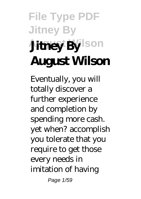# **File Type PDF Jitney By Auney By** Ison **August Wilson**

Eventually, you will totally discover a further experience and completion by spending more cash. yet when? accomplish you tolerate that you require to get those every needs in imitation of having Page 1/59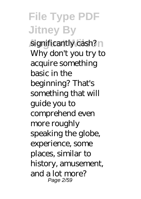significantly cash? Why don't you try to acquire something basic in the beginning? That's something that will guide you to comprehend even more roughly speaking the globe, experience, some places, similar to history, amusement, and a lot more? Page 2/59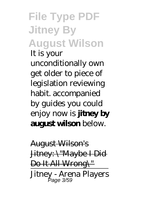#### **File Type PDF Jitney By August Wilson** It is your unconditionally own get older to piece of legislation reviewing habit. accompanied by guides you could enjoy now is **jitney by august wilson** below.

August Wilson's Jitney: \"Maybe I Did Do It All Wrong\" Jitney - Arena Players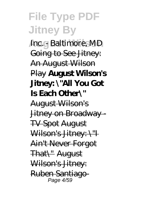**Inc.** - Baltimore, MD Going to See Jitney: An August Wilson Play **August Wilson's Jitney: \"All You Got Is Each Other\"** August Wilson's Jitney on Broadway - TV Spot August Wilson's Jitney: \"I Ain't Never Forgot That\" August Wilson's Jitney: Ruben Santiago-Page 4/59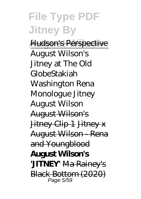**Hudson's Perspective** August Wilson's Jitney at The Old Globe*Stakiah Washington Rena Monologue Jitney August Wilson* August Wilson's Jitney Clip 1 Jitney x August Wilson Rena and Youngblood **August Wilson's 'JITNEY'** Ma Rainey's **Black Bottom (2020)**<br>Page 5/59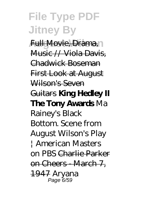**Full Movie, Drama, 1** Music // Viola Davis, Chadwick Boseman First Look at August Wilson's Seven Guitars **King Hedley II The Tony Awards** *Ma Rainey's Black Bottom. Scene from August Wilson's Play | American Masters on PBS* Charlie Parker on Cheers - March 7, 1947 *Aryana* Page 6/59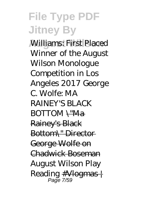**August Wilson** *Williams: First Placed Winner of the August Wilson Monologue Competition in Los Angeles 2017 George C. Wolfe: MA RAINEY'S BLACK BOTTOM* \"Ma Rainey's Black Bottom\" Director George Wolfe on Chadwick Boseman *August Wilson Play Reading* #Vlogmas | Page 7/59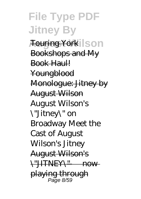**Touring York Ison** Bookshops and My Book Haul! Youngblood Monologue: Jitney by August Wilson August Wilson's \"Jitney\" on Broadway Meet the Cast of August Wilson's Jitney August Wilson's \"JITNEY\" — now playing through Page 8/59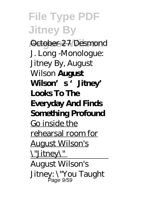**August Wilson** October 27 *Desmond J. Long -Monologue: Jitney By, August Wilson* **August Wilson's 'Jitney' Looks To The Everyday And Finds Something Profound** Go inside the rehearsal room for August Wilson's \"Jitney\" August Wilson's Jitney: \"You Taught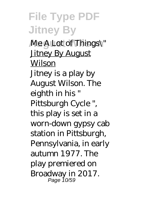**Me A Lot of Things\" Jitney By August Wilson** 

Jitney is a play by August Wilson. The eighth in his " Pittsburgh Cycle ", this play is set in a worn-down gypsy cab station in Pittsburgh, Pennsylvania, in early autumn 1977. The play premiered on Broadway in 2017. Page 10/59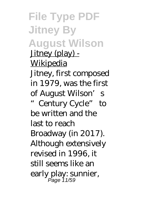**File Type PDF Jitney By August Wilson** Jitney (play) -Wikipedia Jitney, first composed in 1979, was the first of August Wilson's Century Cycle" to be written and the last to reach Broadway (in 2017). Although extensively revised in 1996, it still seems like an early play: sunnier, Page 11/59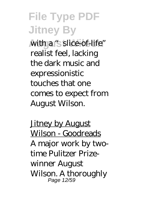**Auth a "slice-of-life"** realist feel, lacking the dark music and expressionistic touches that one comes to expect from August Wilson.

**Jitney by August** Wilson - Goodreads A major work by twotime Pulitzer Prizewinner August Wilson. A thoroughly Page 12/59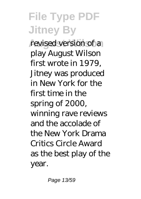revised version of a play August Wilson first wrote in 1979, Jitney was produced in New York for the first time in the spring of 2000, winning rave reviews and the accolade of the New York Drama Critics Circle Award as the best play of the year.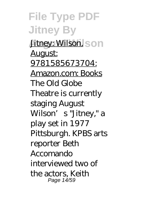*Jitney: Wilson, Son* August: 9781585673704: Amazon.com: Books The Old Globe Theatre is currently staging August Wilson's "Jitney," a play set in 1977 Pittsburgh. KPBS arts reporter Beth Accomando interviewed two of the actors, Keith Page 14/59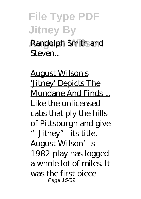**August Wilson** Randolph Smith and Steven...

August Wilson's 'Jitney' Depicts The Mundane And Finds ... Like the unlicensed cabs that ply the hills of Pittsburgh and give "Jitney" its title, August Wilson's 1982 play has logged a whole lot of miles. It was the first piece Page 15/59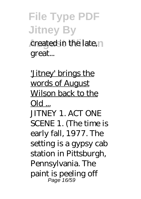#### **File Type PDF Jitney By August Created in the late, n** great...

'Jitney' brings the words of August Wilson back to the  $O(d)$ ... JITNEY 1. ACT ONE SCENE 1. (The time is early fall, 1977. The setting is a gypsy cab station in Pittsburgh, Pennsylvania. The paint is peeling off Page 16/59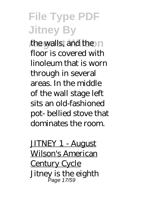the walls, and the n floor is covered with linoleum that is worn through in several areas. In the middle of the wall stage left sits an old-fashioned pot- bellied stove that dominates the room.

JITNEY 1 - August Wilson's American Century Cycle Jitney is the eighth Page 17/59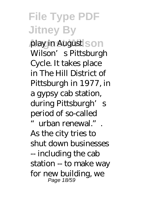**play in August Son** Wilson's Pittsburgh Cycle. It takes place in The Hill District of Pittsburgh in 1977, in a gypsy cab station, during Pittsburgh's period of so-called "urban renewal.".

As the city tries to shut down businesses -- including the cab station -- to make way for new building, we Page 18/59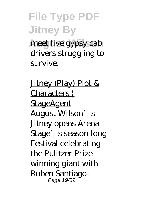meet five gypsy cab drivers struggling to survive.

Jitney (Play) Plot & Characters | **StageAgent** August Wilson's Jitney opens Arena Stage's season-long Festival celebrating the Pulitzer Prizewinning giant with Ruben Santiago-Page 19/59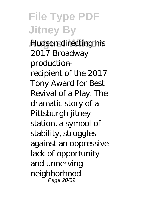**Hudson directing his** 2017 Broadway production recipient of the 2017 Tony Award for Best Revival of a Play. The dramatic story of a Pittsburgh jitney station, a symbol of stability, struggles against an oppressive lack of opportunity and unnerving neighborhood Page 20/59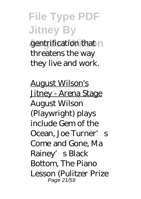gentrification that n threatens the way they live and work.

August Wilson's Jitney - Arena Stage August Wilson (Playwright) plays include Gem of the Ocean, Joe Turner's Come and Gone, Ma Rainey's Black Bottom, The Piano Lesson (Pulitzer Prize Page 21/59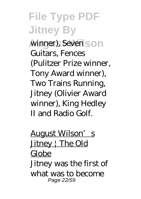winner), Seven son Guitars, Fences (Pulitzer Prize winner, Tony Award winner), Two Trains Running, Jitney (Olivier Award winner), King Hedley II and Radio Golf.

August Wilson's Jitney | The Old Globe Jitney was the first of what was to become Page 22/59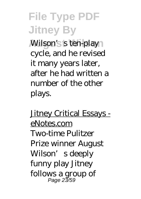**Wilson's s ten-play** cycle, and he revised it many years later, after he had written a number of the other plays.

Jitney Critical Essays eNotes.com Two-time Pulitzer Prize winner August Wilson's deeply funny play Jitney follows a group of Page 23/59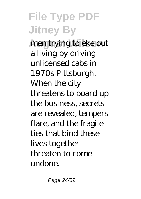men trying to eke out a living by driving unlicensed cabs in 1970s Pittsburgh. When the city threatens to board up the business, secrets are revealed, tempers flare, and the fragile ties that bind these lives together threaten to come undone.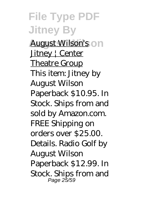**August Wilson's** on Jitney | Center Theatre Group This item: Jitney by August Wilson Paperback \$10.95. In Stock. Ships from and sold by Amazon.com. FREE Shipping on orders over \$25.00. Details. Radio Golf by August Wilson Paperback \$12.99. In Stock. Ships from and Page 25/59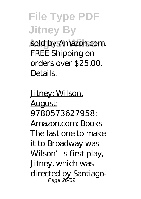sold by Amazon.com. FREE Shipping on orders over \$25.00. Details.

Jitney: Wilson, August: 9780573627958: Amazon.com: Books The last one to make it to Broadway was Wilson's first play, Jitney, which was directed by Santiago-Page 26/59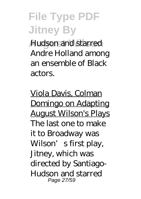**August Wilson** Hudson and starred Andre Holland among an ensemble of Black actors.

Viola Davis, Colman Domingo on Adapting August Wilson's Plays The last one to make it to Broadway was Wilson's first play, Jitney, which was directed by Santiago-Hudson and starred Page 27/59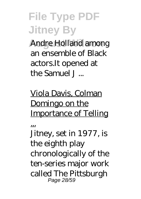**Andre Holland among** an ensemble of Black actors.It opened at the Samuel J ...

#### Viola Davis, Colman Domingo on the Importance of Telling

...

Jitney, set in 1977, is the eighth play chronologically of the ten-series major work called The Pittsburgh Page 28/59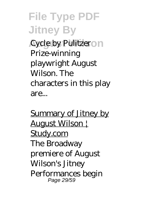**Cycle by Pulitzeron** Prize-winning playwright August Wilson. The characters in this play are...

Summary of Jitney by August Wilson | Study.com The Broadway premiere of August Wilson's Jitney Performances begin Page 29/59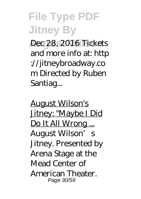**August Wilson** Dec 28, 2016 Tickets and more info at: http ://jitneybroadway.co m Directed by Ruben Santiag...

August Wilson's Jitney: "Maybe I Did Do It All Wrong ... August Wilson's Jitney. Presented by Arena Stage at the Mead Center of American Theater. Page 30/59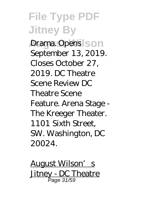**Drama. Opens SON** September 13, 2019. Closes October 27, 2019. DC Theatre Scene Review DC Theatre Scene Feature. Arena Stage - The Kreeger Theater. 1101 Sixth Street, SW. Washington, DC 20024.

August Wilson's Jitney - DC Theatre Page 31/59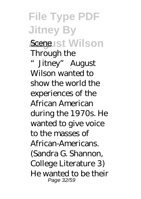**File Type PDF Jitney By Scene ist Wilson** Through the Jitney" August Wilson wanted to show the world the experiences of the African American during the 1970s. He wanted to give voice to the masses of African-Americans. (Sandra G. Shannon, College Literature 3) He wanted to be their Page 32/59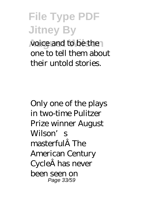**August Wilson** voice and to be the one to tell them about their untold stories.

Only one of the plays in two-time Pulitzer Prize winner August Wilson's masterful The American Century Cycle has never been seen on Page 33/59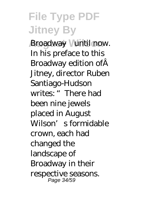**August Wilson** Broadway—until now. In his preface to this Broadway edition ofÂ Jitney, director Ruben Santiago-Hudson writes: "There had been nine jewels placed in August Wilson's formidable crown, each had changed the landscape of Broadway in their respective seasons. Page 34/59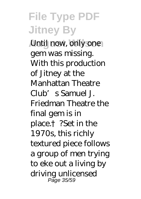**Until now, only one** gem was missing. With this production of Jitney at the Manhattan Theatre Club's Samuel J. Friedman Theatre the final gem is in place.†?Set in the 1970s, this richly textured piece follows a group of men trying to eke out a living by driving unlicensed Page 35/59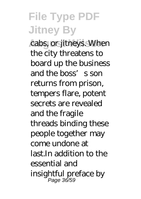cabs, or jitneys. When the city threatens to board up the business and the boss's son returns from prison, tempers flare, potent secrets are revealed and the fragile threads binding these people together may come undone at last.In addition to the essential and insightful preface by Page 36/59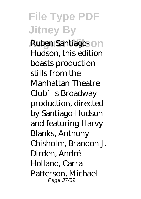**Ruben Santiago-On** Hudson, this edition boasts production stills from the Manhattan Theatre Club's Broadway production, directed by Santiago-Hudson and featuring Harvy Blanks, Anthony Chisholm, Brandon J. Dirden, André Holland, Carra Patterson, Michael Page 37/59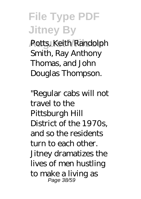Potts, Keith Randolph Smith, Ray Anthony Thomas, and John Douglas Thompson.

"Regular cabs will not travel to the Pittsburgh Hill District of the 1970s, and so the residents turn to each other. Jitney dramatizes the lives of men hustling to make a living as Page 38/59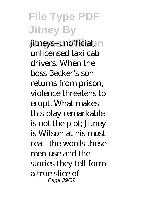**August 2015** *Mitneys-unofficial*,  $\cap$ unlicensed taxi cab drivers. When the boss Becker's son returns from prison, violence threatens to erupt. What makes this play remarkable is not the plot; Jitney is Wilson at his most real--the words these men use and the stories they tell form a true slice of Page 39/59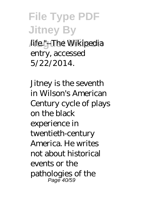**August Wilson** life."--The Wikipedia entry, accessed 5/22/2014.

Jitney is the seventh in Wilson's American Century cycle of plays on the black experience in twentieth-century America. He writes not about historical events or the pathologies of the Page 40/59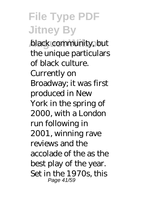**black community, but** the unique particulars of black culture. Currently on Broadway; it was first produced in New York in the spring of 2000, with a London run following in 2001, winning rave reviews and the accolade of the as the best play of the year. Set in the 1970s, this Page 41/59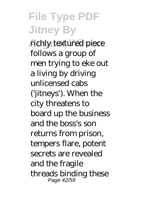richly textured piece follows a group of men trying to eke out a living by driving unlicensed cabs ('jitneys'). When the city threatens to board up the business and the boss's son returns from prison, tempers flare, potent secrets are revealed and the fragile threads binding these Page 42/59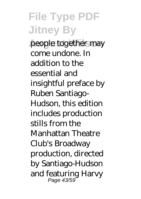people together may come undone. In addition to the essential and insightful preface by Ruben Santiago-Hudson, this edition includes production stills from the Manhattan Theatre Club's Broadway production, directed by Santiago-Hudson and featuring Harvy Page 43/59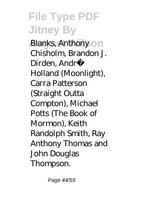**Blanks, Anthony on** Chisholm, Brandon J. Dirden, Andr� Holland (Moonlight), Carra Patterson (Straight Outta Compton), Michael Potts (The Book of Mormon), Keith Randolph Smith, Ray Anthony Thomas and John Douglas Thompson.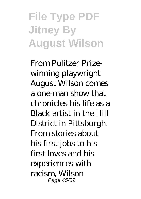# **File Type PDF Jitney By August Wilson**

From Pulitzer Prizewinning playwright August Wilson comes a one-man show that chronicles his life as a Black artist in the Hill District in Pittsburgh. From stories about his first jobs to his first loves and his experiences with racism, Wilson Page 45/59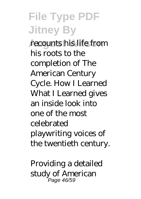**August Wilson** recounts his life from his roots to the completion of The American Century Cycle. How I Learned What I Learned gives an inside look into one of the most celebrated playwriting voices of the twentieth century.

Providing a detailed study of American Page 46/59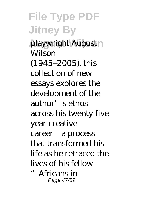**playwright August** Wilson (1945–2005), this collection of new essays explores the development of the author's ethos across his twenty-fiveyear creative career—a process that transformed his life as he retraced the lives of his fellow "Africans in Page 47/59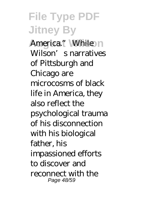America." While In Wilson's narratives of Pittsburgh and Chicago are microcosms of black life in America, they also reflect the psychological trauma of his disconnection with his biological father, his impassioned efforts to discover and reconnect with the Page 48/59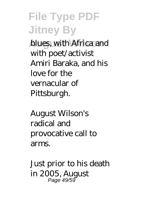**blues, with Africa and** with poet/activist Amiri Baraka, and his love for the vernacular of Pittsburgh.

August Wilson's radical and provocative call to arms.

Just prior to his death in 2005, August Page 49/59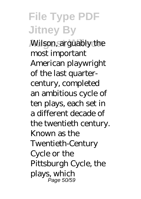**Wilson, arguably the** most important American playwright of the last quartercentury, completed an ambitious cycle of ten plays, each set in a different decade of the twentieth century. Known as the Twentieth-Century Cycle or the Pittsburgh Cycle, the plays, which Page 50/59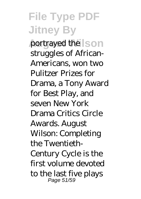**portrayed the SON** struggles of African-Americans, won two Pulitzer Prizes for Drama, a Tony Award for Best Play, and seven New York Drama Critics Circle Awards. August Wilson: Completing the Twentieth-Century Cycle is the first volume devoted to the last five plays Page 51/59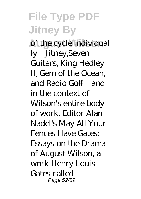of the cycle individual ly—Jitney,Seven Guitars, King Hedley II, Gem of the Ocean, and Radio Golf—and in the context of Wilson's entire body of work. Editor Alan Nadel's May All Your Fences Have Gates: Essays on the Drama of August Wilson, a work Henry Louis Gates called Page 52/59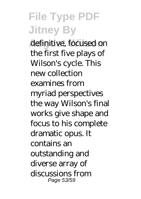**August Wilson** definitive, focused on the first five plays of Wilson's cycle. This new collection examines from myriad perspectives the way Wilson's final works give shape and focus to his complete dramatic opus. It contains an outstanding and diverse array of discussions from Page 53/59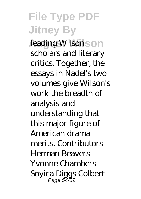*Leading Wilsons* on scholars and literary critics. Together, the essays in Nadel's two volumes give Wilson's work the breadth of analysis and understanding that this major figure of American drama merits. Contributors Herman Beavers Yvonne Chambers Soyica Diggs Colbert Page 54/59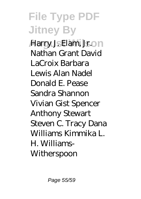**Harry J. Elam, Jr.on** Nathan Grant David LaCroix Barbara Lewis Alan Nadel Donald E. Pease Sandra Shannon Vivian Gist Spencer Anthony Stewart Steven C. Tracy Dana Williams Kimmika L. H. Williams-**Witherspoon**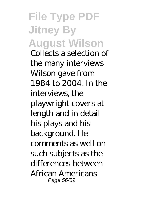**File Type PDF Jitney By August Wilson** Collects a selection of the many interviews Wilson gave from 1984 to 2004. In the interviews, the playwright covers at length and in detail his plays and his background. He comments as well on such subjects as the differences between African Americans Page 56/59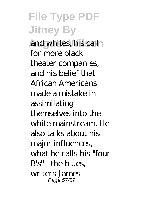and whites, his call for more black theater companies, and his belief that African Americans made a mistake in assimilating themselves into the white mainstream. He also talks about his major influences, what he calls his "four B's"-- the blues, writers James Page 57/59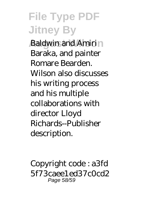**Baldwin and Amirin** Baraka, and painter Romare Bearden. Wilson also discusses his writing process and his multiple collaborations with director Lloyd Richards--Publisher description.

Copyright code : a3fd 5f73caee1ed37c0cd2 Page 58/59